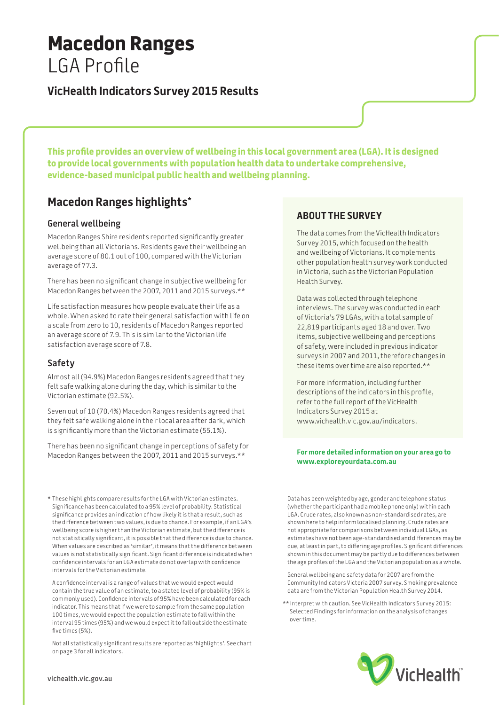# **Macedon Ranges** LGA Profile

### **VicHealth Indicators Survey 2015 Results**

**This profile provides an overview of wellbeing in this local government area (LGA). It is designed to provide local governments with population health data to undertake comprehensive, evidence-based municipal public health and wellbeing planning.**

## **Macedon Ranges highlights\***

#### **General wellbeing**

Macedon Ranges Shire residents reported significantly greater wellbeing than all Victorians. Residents gave their wellbeing an average score of 80.1 out of 100, compared with the Victorian average of 77.3.

There has been no significant change in subjective wellbeing for Macedon Ranges between the 2007, 2011 and 2015 surveys.\*\*

Life satisfaction measures how people evaluate their life as a whole. When asked to rate their general satisfaction with life on a scale from zero to 10, residents of Macedon Ranges reported an average score of 7.9. This is similar to the Victorian life satisfaction average score of 7.8.

#### **Safety**

Almost all (94.9%) Macedon Ranges residents agreed that they felt safe walking alone during the day, which is similar to the Victorian estimate (92.5%).

Seven out of 10 (70.4%) Macedon Ranges residents agreed that they felt safe walking alone in their local area after dark, which is significantly more than the Victorian estimate (55.1%).

There has been no significant change in perceptions of safety for Macedon Ranges between the 2007, 2011 and 2015 surveys.\*\*

### **About the survey**

The data comes from the VicHealth Indicators Survey 2015, which focused on the health and wellbeing of Victorians. It complements other population health survey work conducted in Victoria, such as the Victorian Population Health Survey.

Data was collected through telephone interviews. The survey was conducted in each of Victoria's 79 LGAs, with a total sample of 22,819 participants aged 18 and over. Two items, subjective wellbeing and perceptions of safety, were included in previous indicator surveys in 2007 and 2011, therefore changes in these items over time are also reported.\*\*

For more information, including further descriptions of the indicators in this profile, refer to the full report of the VicHealth Indicators Survey 2015 at www.vichealth.vic.gov.au/indicators.

#### **For more detailed information on your area go to www.exploreyourdata.com.au**

\* These highlights compare results for the LGA with Victorian estimates. Significance has been calculated to a 95% level of probability. Statistical significance provides an indication of how likely it is that a result, such as the difference between two values, is due to chance. For example, if an LGA's wellbeing score is higher than the Victorian estimate, but the difference is not statistically significant, it is possible that the difference is due to chance. When values are described as 'similar', it means that the difference between values is not statistically significant. Significant difference is indicated when confidence intervals for an LGA estimate do not overlap with confidence intervals for the Victorian estimate.

A confidence interval is a range of values that we would expect would contain the true value of an estimate, to a stated level of probability (95% is commonly used). Confidence intervals of 95% have been calculated for each indicator. This means that if we were to sample from the same population 100 times, we would expect the population estimate to fall within the interval 95 times (95%) and we would expect it to fall outside the estimate five times (5%).

Not all statistically significant results are reported as 'highlights'. See chart on page 3 for all indicators.

Data has been weighted by age, gender and telephone status (whether the participant had a mobile phone only) within each LGA. Crude rates, also known as non-standardised rates, are shown here to help inform localised planning. Crude rates are not appropriate for comparisons between individual LGAs, as estimates have not been age-standardised and differences may be due, at least in part, to differing age profiles. Significant differences shown in this document may be partly due to differences between the age profiles of the LGA and the Victorian population as a whole.

General wellbeing and safety data for 2007 are from the Community Indicators Victoria 2007 survey. Smoking prevalence data are from the Victorian Population Health Survey 2014.

\*\* Interpret with caution. See VicHealth Indicators Survey 2015: Selected Findings for information on the analysis of changes over time.

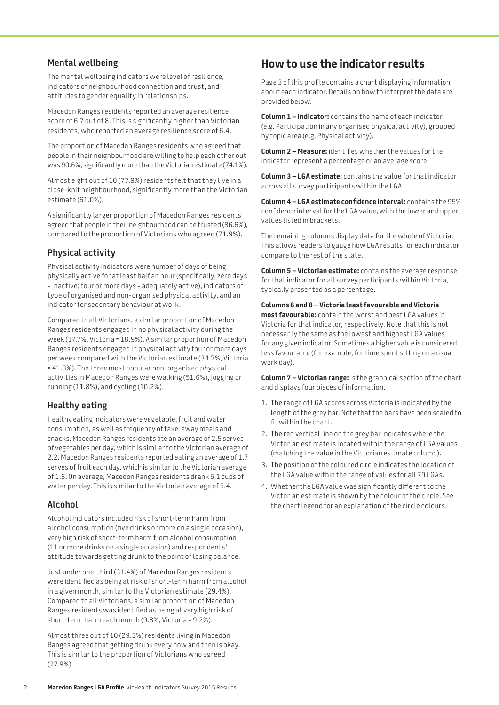#### **Mental wellbeing**

The mental wellbeing indicators were level of resilience, indicators of neighbourhood connection and trust, and attitudes to gender equality in relationships.

Macedon Ranges residents reported an average resilience score of 6.7 out of 8. This is significantly higher than Victorian residents, who reported an average resilience score of 6.4.

The proportion of Macedon Ranges residents who agreed that people in their neighbourhood are willing to help each other out was 90.6%, significantly more than the Victorian estimate (74.1%).

Almost eight out of 10 (77.9%) residents felt that they live in a close-knit neighbourhood, significantly more than the Victorian estimate (61.0%).

A significantly larger proportion of Macedon Ranges residents agreed that people in their neighbourhood can be trusted (86.6%), compared to the proportion of Victorians who agreed (71.9%).

### **Physical activity**

Physical activity indicators were number of days of being physically active for at least half an hour (specifically, zero days = inactive; four or more days = adequately active), indicators of type of organised and non-organised physical activity, and an indicator for sedentary behaviour at work.

Compared to all Victorians, a similar proportion of Macedon Ranges residents engaged in no physical activity during the week (17.7%, Victoria = 18.9%). A similar proportion of Macedon Ranges residents engaged in physical activity four or more days per week compared with the Victorian estimate (34.7%, Victoria = 41.3%). The three most popular non-organised physical activities in Macedon Ranges were walking (51.6%), jogging or running (11.8%), and cycling (10.2%).

#### **Healthy eating**

Healthy eating indicators were vegetable, fruit and water consumption, as well as frequency of take-away meals and snacks. Macedon Ranges residents ate an average of 2.5 serves of vegetables per day, which is similar to the Victorian average of 2.2. Macedon Ranges residents reported eating an average of 1.7 serves of fruit each day, which is similar to the Victorian average of 1.6. On average, Macedon Ranges residents drank 5.1 cups of water per day. This is similar to the Victorian average of 5.4.

#### **Alcohol**

Alcohol indicators included risk of short-term harm from alcohol consumption (five drinks or more on a single occasion), very high risk of short-term harm from alcohol consumption (11 or more drinks on a single occasion) and respondents' attitude towards getting drunk to the point of losing balance.

Just under one-third (31.4%) of Macedon Ranges residents were identified as being at risk of short-term harm from alcohol in a given month, similar to the Victorian estimate (29.4%). Compared to all Victorians, a similar proportion of Macedon Ranges residents was identified as being at very high risk of short-term harm each month (9.8%, Victoria = 9.2%).

Almost three out of 10 (29.3%) residents living in Macedon Ranges agreed that getting drunk every now and then is okay. This is similar to the proportion of Victorians who agreed (27.9%).

### **How to use the indicator results**

Page 3 of this profile contains a chart displaying information about each indicator. Details on how to interpret the data are provided below.

**Column 1 – Indicator:** contains the name of each indicator (e.g. Participation in any organised physical activity), grouped by topic area (e.g. Physical activity).

**Column 2 – Measure:** identifies whether the values for the indicator represent a percentage or an average score.

**Column 3 – LGA estimate:** contains the value for that indicator across all survey participants within the LGA.

**Column 4 – LGA estimate confidence interval:** contains the 95% confidence interval for the LGA value, with the lower and upper values listed in brackets.

The remaining columns display data for the whole of Victoria. This allows readers to gauge how LGA results for each indicator compare to the rest of the state.

**Column 5 – Victorian estimate:** contains the average response for that indicator for all survey participants within Victoria, typically presented as a percentage.

**Columns 6 and 8 – Victoria least favourable and Victoria most favourable:** contain the worst and best LGA values in Victoria for that indicator, respectively. Note that this is not necessarily the same as the lowest and highest LGA values for any given indicator. Sometimes a higher value is considered less favourable (for example, for time spent sitting on a usual work day).

**Column 7 – Victorian range:** is the graphical section of the chart and displays four pieces of information.

- 1. The range of LGA scores across Victoria is indicated by the length of the grey bar. Note that the bars have been scaled to fit within the chart.
- 2. The red vertical line on the grey bar indicates where the Victorian estimate is located within the range of LGA values (matching the value in the Victorian estimate column).
- 3. The position of the coloured circle indicates the location of the LGA value within the range of values for all 79 LGAs.
- 4. Whether the LGA value was significantly different to the Victorian estimate is shown by the colour of the circle. See the chart legend for an explanation of the circle colours.